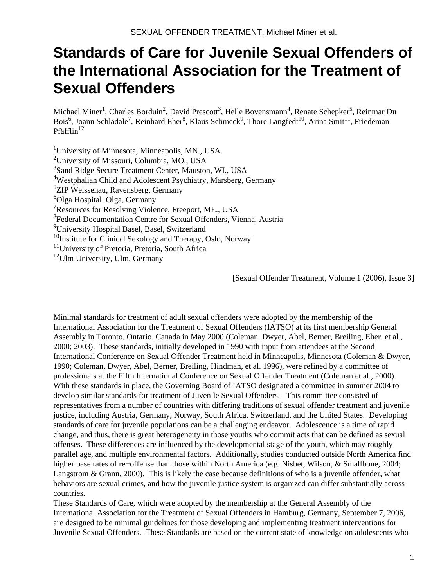# **Standards of Care for Juvenile Sexual Offenders of the International Association for the Treatment of Sexual Offenders**

Michael Miner<sup>1</sup>, Charles Borduin<sup>2</sup>, David Prescott<sup>3</sup>, Helle Bovensmann<sup>4</sup>, Renate Schepker<sup>5</sup>, Reinmar Du Bois<sup>6</sup>, Joann Schladale<sup>7</sup>, Reinhard Eher<sup>8</sup>, Klaus Schmeck<sup>9</sup>, Thore Langfedt<sup>10</sup>, Arina Smit<sup>11</sup>, Friedeman Pfäfflin $12$ 

<sup>1</sup>University of Minnesota, Minneapolis, MN., USA. University of Missouri, Columbia, MO., USA Sand Ridge Secure Treatment Center, Mauston, WI., USA Westphalian Child and Adolescent Psychiatry, Marsberg, Germany <sup>5</sup>ZfP Weissenau, Ravensberg, Germany Olga Hospital, Olga, Germany Resources for Resolving Violence, Freeport, ME., USA Federal Documentation Centre for Sexual Offenders, Vienna, Austria University Hospital Basel, Basel, Switzerland Institute for Clinical Sexology and Therapy, Oslo, Norway <sup>11</sup>University of Pretoria, Pretoria, South Africa

 $12$ Ulm University, Ulm, Germany

[Sexual Offender Treatment, Volume 1 (2006), Issue 3]

Minimal standards for treatment of adult sexual offenders were adopted by the membership of the International Association for the Treatment of Sexual Offenders (IATSO) at its first membership General Assembly in Toronto, Ontario, Canada in May 2000 (Coleman, Dwyer, Abel, Berner, Breiling, Eher, et al., 2000; 2003). These standards, initially developed in 1990 with input from attendees at the Second International Conference on Sexual Offender Treatment held in Minneapolis, Minnesota (Coleman & Dwyer, 1990; Coleman, Dwyer, Abel, Berner, Breiling, Hindman, et al. 1996), were refined by a committee of professionals at the Fifth International Conference on Sexual Offender Treatment (Coleman et al., 2000). With these standards in place, the Governing Board of IATSO designated a committee in summer 2004 to develop similar standards for treatment of Juvenile Sexual Offenders. This committee consisted of representatives from a number of countries with differing traditions of sexual offender treatment and juvenile justice, including Austria, Germany, Norway, South Africa, Switzerland, and the United States. Developing standards of care for juvenile populations can be a challenging endeavor. Adolescence is a time of rapid change, and thus, there is great heterogeneity in those youths who commit acts that can be defined as sexual offenses. These differences are influenced by the developmental stage of the youth, which may roughly parallel age, and multiple environmental factors. Additionally, studies conducted outside North America find higher base rates of re−offense than those within North America (e.g. Nisbet, Wilson, & Smallbone, 2004; Langstrom & Grann, 2000). This is likely the case because definitions of who is a juvenile offender, what behaviors are sexual crimes, and how the juvenile justice system is organized can differ substantially across countries.

These Standards of Care, which were adopted by the membership at the General Assembly of the International Association for the Treatment of Sexual Offenders in Hamburg, Germany, September 7, 2006, are designed to be minimal guidelines for those developing and implementing treatment interventions for Juvenile Sexual Offenders. These Standards are based on the current state of knowledge on adolescents who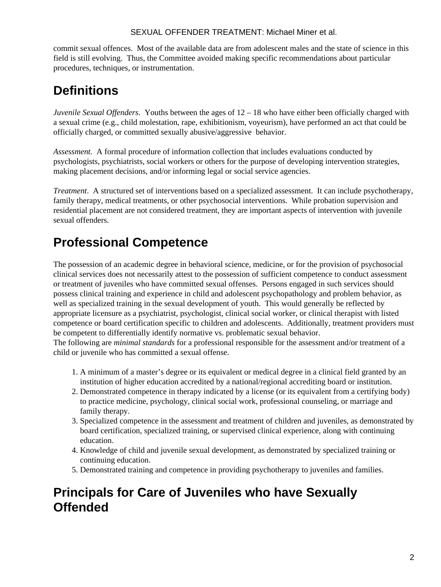#### SEXUAL OFFENDER TREATMENT: Michael Miner et al.

commit sexual offences. Most of the available data are from adolescent males and the state of science in this field is still evolving. Thus, the Committee avoided making specific recommendations about particular procedures, techniques, or instrumentation.

## **Definitions**

*Juvenile Sexual Offenders*. Youths between the ages of 12 – 18 who have either been officially charged with a sexual crime (e.g., child molestation, rape, exhibitionism, voyeurism), have performed an act that could be officially charged, or committed sexually abusive/aggressive behavior.

*Assessment.* A formal procedure of information collection that includes evaluations conducted by psychologists, psychiatrists, social workers or others for the purpose of developing intervention strategies, making placement decisions, and/or informing legal or social service agencies.

*Treatment*. A structured set of interventions based on a specialized assessment. It can include psychotherapy, family therapy, medical treatments, or other psychosocial interventions. While probation supervision and residential placement are not considered treatment, they are important aspects of intervention with juvenile sexual offenders.

# **Professional Competence**

The possession of an academic degree in behavioral science, medicine, or for the provision of psychosocial clinical services does not necessarily attest to the possession of sufficient competence to conduct assessment or treatment of juveniles who have committed sexual offenses. Persons engaged in such services should possess clinical training and experience in child and adolescent psychopathology and problem behavior, as well as specialized training in the sexual development of youth. This would generally be reflected by appropriate licensure as a psychiatrist, psychologist, clinical social worker, or clinical therapist with listed competence or board certification specific to children and adolescents. Additionally, treatment providers must be competent to differentially identify normative vs. problematic sexual behavior.

The following are *minimal standards* for a professional responsible for the assessment and/or treatment of a child or juvenile who has committed a sexual offense.

- 1. A minimum of a master's degree or its equivalent or medical degree in a clinical field granted by an institution of higher education accredited by a national/regional accrediting board or institution.
- Demonstrated competence in therapy indicated by a license (or its equivalent from a certifying body) 2. to practice medicine, psychology, clinical social work, professional counseling, or marriage and family therapy.
- 3. Specialized competence in the assessment and treatment of children and juveniles, as demonstrated by board certification, specialized training, or supervised clinical experience, along with continuing education.
- 4. Knowledge of child and juvenile sexual development, as demonstrated by specialized training or continuing education.
- 5. Demonstrated training and competence in providing psychotherapy to juveniles and families.

## **Principals for Care of Juveniles who have Sexually Offended**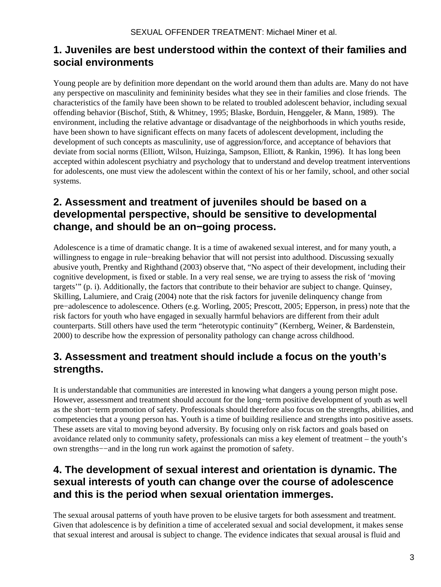### **1. Juveniles are best understood within the context of their families and social environments**

Young people are by definition more dependant on the world around them than adults are. Many do not have any perspective on masculinity and femininity besides what they see in their families and close friends. The characteristics of the family have been shown to be related to troubled adolescent behavior, including sexual offending behavior (Bischof, Stith, & Whitney, 1995; Blaske, Borduin, Henggeler, & Mann, 1989). The environment, including the relative advantage or disadvantage of the neighborhoods in which youths reside, have been shown to have significant effects on many facets of adolescent development, including the development of such concepts as masculinity, use of aggression/force, and acceptance of behaviors that deviate from social norms (Elliott, Wilson, Huizinga, Sampson, Elliott, & Rankin, 1996). It has long been accepted within adolescent psychiatry and psychology that to understand and develop treatment interventions for adolescents, one must view the adolescent within the context of his or her family, school, and other social systems.

## **2. Assessment and treatment of juveniles should be based on a developmental perspective, should be sensitive to developmental change, and should be an on−going process.**

Adolescence is a time of dramatic change. It is a time of awakened sexual interest, and for many youth, a willingness to engage in rule−breaking behavior that will not persist into adulthood. Discussing sexually abusive youth, Prentky and Righthand (2003) observe that, "No aspect of their development, including their cognitive development, is fixed or stable. In a very real sense, we are trying to assess the risk of 'moving targets'" (p. i). Additionally, the factors that contribute to their behavior are subject to change. Quinsey, Skilling, Lalumiere, and Craig (2004) note that the risk factors for juvenile delinquency change from pre−adolescence to adolescence. Others (e.g. Worling, 2005; Prescott, 2005; Epperson, in press) note that the risk factors for youth who have engaged in sexually harmful behaviors are different from their adult counterparts. Still others have used the term "heterotypic continuity" (Kernberg, Weiner, & Bardenstein, 2000) to describe how the expression of personality pathology can change across childhood.

## **3. Assessment and treatment should include a focus on the youth's strengths.**

It is understandable that communities are interested in knowing what dangers a young person might pose. However, assessment and treatment should account for the long−term positive development of youth as well as the short−term promotion of safety. Professionals should therefore also focus on the strengths, abilities, and competencies that a young person has. Youth is a time of building resilience and strengths into positive assets. These assets are vital to moving beyond adversity. By focusing only on risk factors and goals based on avoidance related only to community safety, professionals can miss a key element of treatment – the youth's own strengths−−and in the long run work against the promotion of safety.

## **4. The development of sexual interest and orientation is dynamic. The sexual interests of youth can change over the course of adolescence and this is the period when sexual orientation immerges.**

The sexual arousal patterns of youth have proven to be elusive targets for both assessment and treatment. Given that adolescence is by definition a time of accelerated sexual and social development, it makes sense that sexual interest and arousal is subject to change. The evidence indicates that sexual arousal is fluid and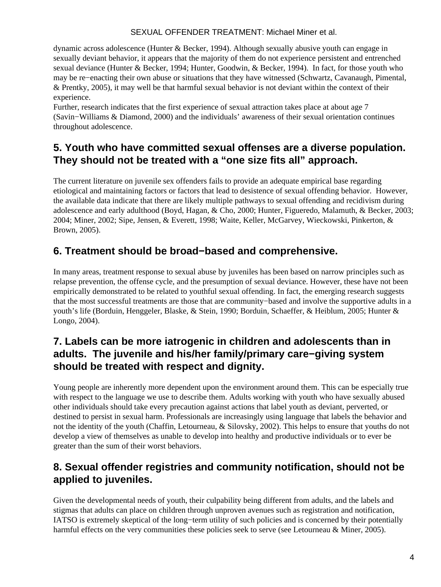#### SEXUAL OFFENDER TREATMENT: Michael Miner et al.

dynamic across adolescence (Hunter & Becker, 1994). Although sexually abusive youth can engage in sexually deviant behavior, it appears that the majority of them do not experience persistent and entrenched sexual deviance (Hunter & Becker, 1994; Hunter, Goodwin, & Becker, 1994). In fact, for those youth who may be re−enacting their own abuse or situations that they have witnessed (Schwartz, Cavanaugh, Pimental, & Prentky, 2005), it may well be that harmful sexual behavior is not deviant within the context of their experience.

Further, research indicates that the first experience of sexual attraction takes place at about age 7 (Savin−Williams & Diamond, 2000) and the individuals' awareness of their sexual orientation continues throughout adolescence.

### **5. Youth who have committed sexual offenses are a diverse population. They should not be treated with a "one size fits all" approach.**

The current literature on juvenile sex offenders fails to provide an adequate empirical base regarding etiological and maintaining factors or factors that lead to desistence of sexual offending behavior. However, the available data indicate that there are likely multiple pathways to sexual offending and recidivism during adolescence and early adulthood (Boyd, Hagan, & Cho, 2000; Hunter, Figueredo, Malamuth, & Becker, 2003; 2004; Miner, 2002; Sipe, Jensen, & Everett, 1998; Waite, Keller, McGarvey, Wieckowski, Pinkerton, & Brown, 2005).

### **6. Treatment should be broad−based and comprehensive.**

In many areas, treatment response to sexual abuse by juveniles has been based on narrow principles such as relapse prevention, the offense cycle, and the presumption of sexual deviance. However, these have not been empirically demonstrated to be related to youthful sexual offending. In fact, the emerging research suggests that the most successful treatments are those that are community−based and involve the supportive adults in a youth's life (Borduin, Henggeler, Blaske, & Stein, 1990; Borduin, Schaeffer, & Heiblum, 2005; Hunter & Longo, 2004).

## **7. Labels can be more iatrogenic in children and adolescents than in adults. The juvenile and his/her family/primary care−giving system should be treated with respect and dignity.**

Young people are inherently more dependent upon the environment around them. This can be especially true with respect to the language we use to describe them. Adults working with youth who have sexually abused other individuals should take every precaution against actions that label youth as deviant, perverted, or destined to persist in sexual harm. Professionals are increasingly using language that labels the behavior and not the identity of the youth (Chaffin, Letourneau, & Silovsky, 2002). This helps to ensure that youths do not develop a view of themselves as unable to develop into healthy and productive individuals or to ever be greater than the sum of their worst behaviors.

## **8. Sexual offender registries and community notification, should not be applied to juveniles.**

Given the developmental needs of youth, their culpability being different from adults, and the labels and stigmas that adults can place on children through unproven avenues such as registration and notification, IATSO is extremely skeptical of the long−term utility of such policies and is concerned by their potentially harmful effects on the very communities these policies seek to serve (see Letourneau & Miner, 2005).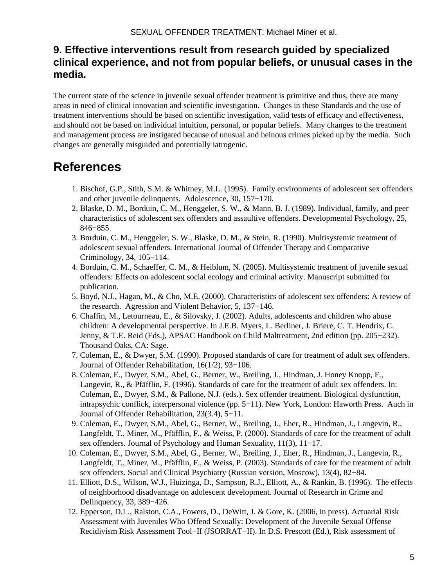## **9. Effective interventions result from research guided by specialized clinical experience, and not from popular beliefs, or unusual cases in the media.**

The current state of the science in juvenile sexual offender treatment is primitive and thus, there are many areas in need of clinical innovation and scientific investigation. Changes in these Standards and the use of treatment interventions should be based on scientific investigation, valid tests of efficacy and effectiveness, and should not be based on individual intuition, personal, or popular beliefs. Many changes to the treatment and management process are instigated because of unusual and heinous crimes picked up by the media. Such changes are generally misguided and potentially iatrogenic.

## **References**

- 1. Bischof, G.P., Stith, S.M. & Whitney, M.L. (1995). Family environments of adolescent sex offenders and other juvenile delinquents. Adolescence, 30, 157−170.
- 2. Blaske, D. M., Borduin, C. M., Henggeler, S. W., & Mann, B. J. (1989). Individual, family, and peer characteristics of adolescent sex offenders and assaultive offenders. Developmental Psychology, 25, 846−855.
- 3. Borduin, C. M., Henggeler, S. W., Blaske, D. M., & Stein, R. (1990). Multisystemic treatment of adolescent sexual offenders. International Journal of Offender Therapy and Comparative Criminology, 34, 105−114.
- 4. Borduin, C. M., Schaeffer, C. M., & Heiblum, N. (2005). Multisystemic treatment of juvenile sexual offenders: Effects on adolescent social ecology and criminal activity. Manuscript submitted for publication.
- 5. Boyd, N.J., Hagan, M., & Cho, M.E. (2000). Characteristics of adolescent sex offenders: A review of the research. Agression and Violent Behavior, 5, 137−146.
- 6. Chaffin, M., Letourneau, E., & Silovsky, J. (2002). Adults, adolescents and children who abuse children: A developmental perspective. In J.E.B. Myers, L. Berliner, J. Briere, C. T. Hendrix, C. Jenny, & T.E. Reid (Eds.), APSAC Handbook on Child Maltreatment, 2nd edition (pp. 205−232). Thousand Oaks, CA: Sage.
- 7. Coleman, E., & Dwyer, S.M. (1990). Proposed standards of care for treatment of adult sex offenders. Journal of Offender Rehabilitation, 16(1/2), 93−106.
- 8. Coleman, E., Dwyer, S.M., Abel, G., Berner, W., Breiling, J., Hindman, J. Honey Knopp, F., Langevin, R., & Pfäfflin, F. (1996). Standards of care for the treatment of adult sex offenders. In: Coleman, E., Dwyer, S.M., & Pallone, N.J. (eds.). Sex offender treatment. Biological dysfunction, intrapsychic conflick, interpersonal violence (pp. 5−11). New York, London: Haworth Press. Auch in Journal of Offender Rehabilitation, 23(3.4), 5−11.
- 9. Coleman, E., Dwyer, S.M., Abel, G., Berner, W., Breiling, J., Eher, R., Hindman, J., Langevin, R., Langfeldt, T., Miner, M., Pfäfflin, F., & Weiss, P. (2000). Standards of care for the treatment of adult sex offenders. Journal of Psychology and Human Sexuality, 11(3), 11−17.
- 10. Coleman, E., Dwyer, S.M., Abel, G., Berner, W., Breiling, J., Eher, R., Hindman, J., Langevin, R., Langfeldt, T., Miner, M., Pfäfflin, F., & Weiss, P. (2003). Standards of care for the treatment of adult sex offenders. Social and Clinical Psychiatry (Russian version, Moscow), 13(4), 82−84.
- Elliott, D.S., Wilson, W.J., Huizinga, D., Sampson, R.J., Elliott, A., & Rankin, B. (1996). The effects 11. of neighborhood disadvantage on adolescent development. Journal of Research in Crime and Delinquency, 33, 389−426.
- 12. Epperson, D.L., Ralston, C.A., Fowers, D., DeWitt, J. & Gore, K. (2006, in press). Actuarial Risk Assessment with Juveniles Who Offend Sexually: Development of the Juvenile Sexual Offense Recidivism Risk Assessment Tool−II (JSORRAT−II). In D.S. Prescott (Ed.), Risk assessment of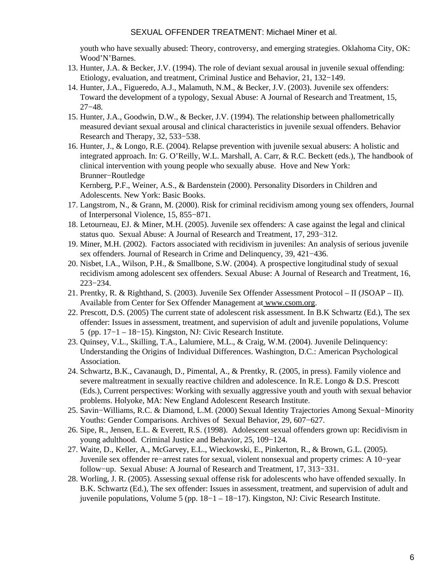#### SEXUAL OFFENDER TREATMENT: Michael Miner et al.

youth who have sexually abused: Theory, controversy, and emerging strategies. Oklahoma City, OK: Wood'N'Barnes.

- 13. Hunter, J.A. & Becker, J.V. (1994). The role of deviant sexual arousal in juvenile sexual offending: Etiology, evaluation, and treatment, Criminal Justice and Behavior, 21, 132−149.
- 14. Hunter, J.A., Figueredo, A.J., Malamuth, N.M., & Becker, J.V. (2003). Juvenile sex offenders: Toward the development of a typology, Sexual Abuse: A Journal of Research and Treatment, 15, 27−48.
- 15. Hunter, J.A., Goodwin, D.W., & Becker, J.V. (1994). The relationship between phallometrically measured deviant sexual arousal and clinical characteristics in juvenile sexual offenders. Behavior Research and Therapy, 32, 533−538.
- 16. Hunter, J., & Longo, R.E. (2004). Relapse prevention with juvenile sexual abusers: A holistic and integrated approach. In: G. O'Reilly, W.L. Marshall, A. Carr, & R.C. Beckett (eds.), The handbook of clinical intervention with young people who sexually abuse. Hove and New York: Brunner−Routledge

Kernberg, P.F., Weiner, A.S., & Bardenstein (2000). Personality Disorders in Children and Adolescents. New York: Basic Books.

- 17. Langstrom, N., & Grann, M. (2000). Risk for criminal recidivism among young sex offenders, Journal of Interpersonal Violence, 15, 855−871.
- 18. Letourneau, EJ. & Miner, M.H. (2005). Juvenile sex offenders: A case against the legal and clinical status quo. Sexual Abuse: A Journal of Research and Treatment, 17, 293−312.
- 19. Miner, M.H. (2002). Factors associated with recidivism in juveniles: An analysis of serious juvenile sex offenders. Journal of Research in Crime and Delinquency, 39, 421−436.
- 20. Nisbet, I.A., Wilson, P.H., & Smallbone, S.W. (2004). A prospective longitudinal study of sexual recidivism among adolescent sex offenders. Sexual Abuse: A Journal of Research and Treatment, 16, 223−234.
- 21. Prentky, R. & Righthand, S. (2003). Juvenile Sex Offender Assessment Protocol II (JSOAP II). Available from Center for Sex Offender Management a[t www.csom.org](http://www.csom.org/).
- 22. Prescott, D.S. (2005) The current state of adolescent risk assessment. In B.K Schwartz (Ed.), The sex offender: Issues in assessment, treatment, and supervision of adult and juvenile populations, Volume 5 (pp. 17−1 – 18−15). Kingston, NJ: Civic Research Institute.
- 23. Quinsey, V.L., Skilling, T.A., Lalumiere, M.L., & Craig, W.M. (2004). Juvenile Delinquency: Understanding the Origins of Individual Differences. Washington, D.C.: American Psychological Association.
- 24. Schwartz, B.K., Cavanaugh, D., Pimental, A., & Prentky, R. (2005, in press). Family violence and severe maltreatment in sexually reactive children and adolescence. In R.E. Longo & D.S. Prescott (Eds.), Current perspectives: Working with sexually aggressive youth and youth with sexual behavior problems. Holyoke, MA: New England Adolescent Research Institute.
- 25. Savin–Williams, R.C. & Diamond, L.M. (2000) Sexual Identity Trajectories Among Sexual–Minority Youths: Gender Comparisons. Archives of Sexual Behavior, 29, 607−627.
- 26. Sipe, R., Jensen, E.L. & Everett, R.S. (1998). Adolescent sexual offenders grown up: Recidivism in young adulthood. Criminal Justice and Behavior, 25, 109−124.
- Waite, D., Keller, A., McGarvey, E.L., Wieckowski, E., Pinkerton, R., & Brown, G.L. (2005). 27. Juvenile sex offender re−arrest rates for sexual, violent nonsexual and property crimes: A 10−year follow−up. Sexual Abuse: A Journal of Research and Treatment, 17, 313−331.
- 28. Worling, J. R. (2005). Assessing sexual offense risk for adolescents who have offended sexually. In B.K. Schwartz (Ed.), The sex offender: Issues in assessment, treatment, and supervision of adult and juvenile populations, Volume 5 (pp. 18−1 – 18−17). Kingston, NJ: Civic Research Institute.